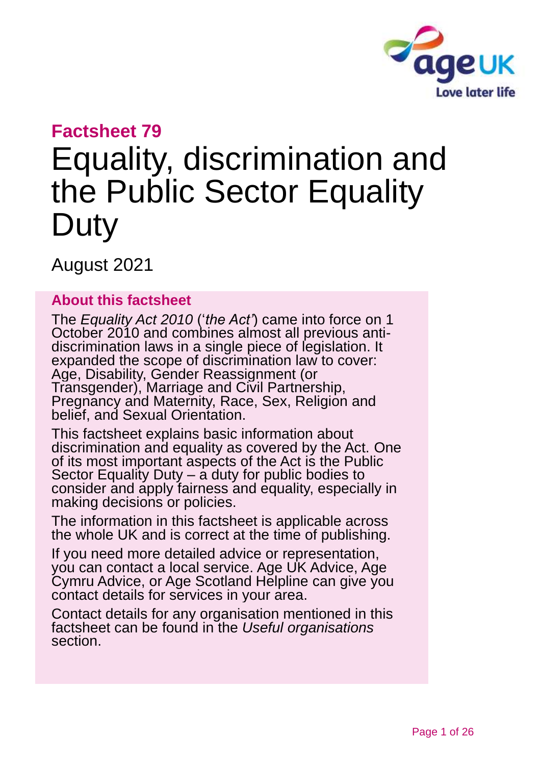

# **Factsheet 79**

# Equality, discrimination and the Public Sector Equality **Duty**

August 2021

#### **About this factsheet**

The *Equality Act 2010* ('*the Act'*) came into force on 1 October 2010 and combines almost all previous antidiscrimination laws in a single piece of legislation. It expanded the scope of discrimination law to cover: Age, Disability, Gender Reassignment (or Transgender), Marriage and Civil Partnership, Pregnancy and Maternity, Race, Sex, Religion and belief, and Sexual Orientation.

This factsheet explains basic information about discrimination and equality as covered by the Act. One of its most important aspects of the Act is the Public Sector Equality Duty – a duty for public bodies to consider and apply fairness and equality, especially in making decisions or policies.

The information in this factsheet is applicable across the whole UK and is correct at the time of publishing.

If you need more detailed advice or representation, you can contact a local service. [Age UK Advice,](http://www.ageuk.org.uk/) [Age](http://www.agecymru.org.uk/)  [Cymru Advice,](http://www.agecymru.org.uk/) or [Age Scotland Helpline](http://www.agescotland.org.uk/) can give you contact details for services in your area.

Contact details for any organisation mentioned in this factsheet can be found in the *[Useful organisations](#page-21-0)* section.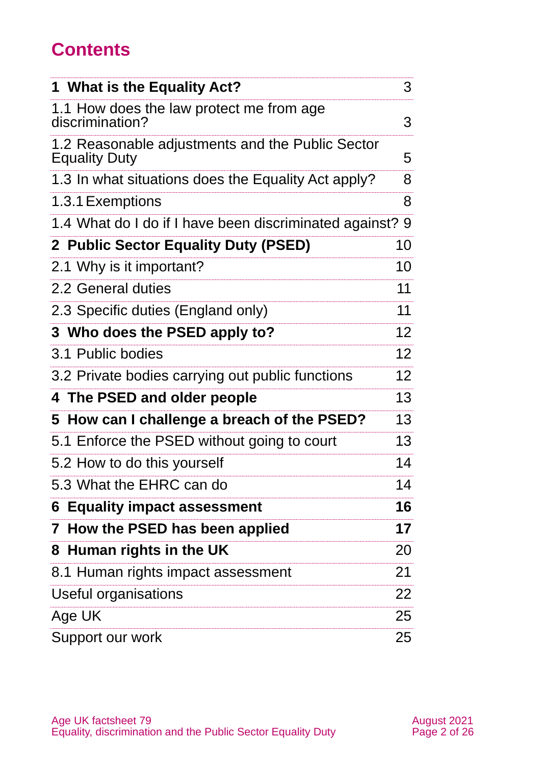# **Contents**

| 1 What is the Equality Act?                                              | 3               |
|--------------------------------------------------------------------------|-----------------|
| 1.1 How does the law protect me from age<br>discrimination?              | 3               |
| 1.2 Reasonable adjustments and the Public Sector<br><b>Equality Duty</b> | 5               |
| 1.3 In what situations does the Equality Act apply?                      | 8               |
| 1.3.1 Exemptions                                                         | 8               |
| 1.4 What do I do if I have been discriminated against? 9                 |                 |
| 2 Public Sector Equality Duty (PSED)                                     | 10              |
| 2.1 Why is it important?                                                 | 10              |
| 2.2 General duties                                                       | 11              |
| 2.3 Specific duties (England only)                                       | 11              |
| 3 Who does the PSED apply to?                                            | 12              |
| 3.1 Public bodies                                                        | 12 <sub>2</sub> |
| 3.2 Private bodies carrying out public functions                         | 12 <sub>2</sub> |
| 4 The PSED and older people                                              | 13              |
| 5 How can I challenge a breach of the PSED?                              | 13              |
| 5.1 Enforce the PSED without going to court                              | 13              |
| 5.2 How to do this yourself                                              | 14              |
| 5.3 What the EHRC can do                                                 | 14              |
| <b>6 Equality impact assessment</b>                                      | 16              |
| 7 How the PSED has been applied                                          | 17              |
| 8 Human rights in the UK                                                 | 20              |
| 8.1 Human rights impact assessment                                       | 21              |
| <b>Useful organisations</b>                                              | 22              |
| Age UK                                                                   | 25              |
| Support our work                                                         | 25              |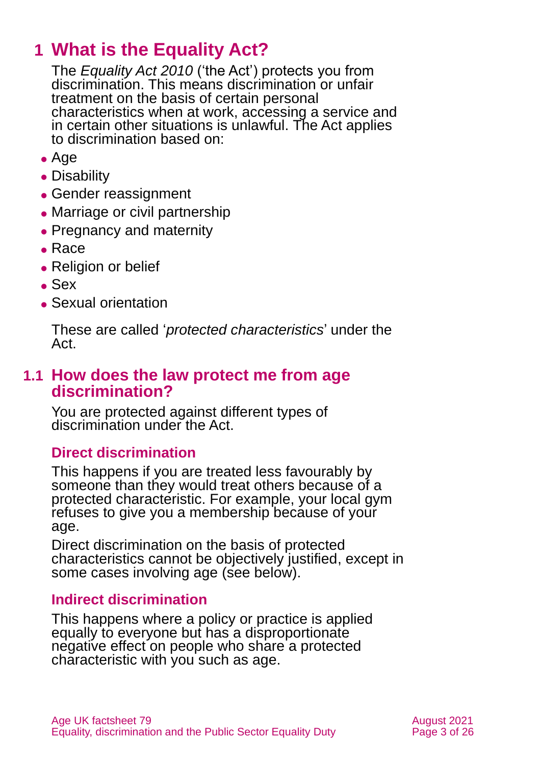# <span id="page-2-0"></span>**1 What is the Equality Act?**

The *Equality Act 2010* ('the Act') protects you from discrimination. This means discrimination or unfair treatment on the basis of certain personal characteristics when at work, accessing a service and in certain other situations is unlawful. The Act applies to discrimination based on:

- Age
- ⚫ Disability
- ⚫ Gender reassignment
- Marriage or civil partnership
- Pregnancy and maternity
- ⚫ Race
- ⚫ Religion or belief
- $\bullet$  Sex
- Sexual orientation

These are called '*protected characteristics*' under the Act.

### **1.1 How does the law protect me from age discrimination?**

You are protected against different types of discrimination under the Act.

#### **Direct discrimination**

This happens if you are treated less favourably by someone than they would treat others because of a protected characteristic. For example, your local gym refuses to give you a membership because of your age.

Direct discrimination on the basis of protected characteristics cannot be objectively justified, except in some cases involving age (see below).

#### **Indirect discrimination**

This happens where a policy or practice is applied equally to everyone but has a disproportionate negative effect on people who share a protected characteristic with you such as age.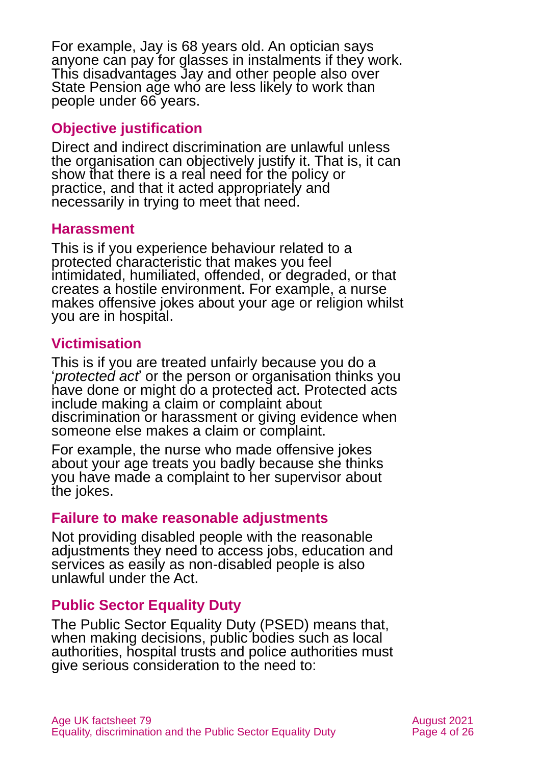For example, Jay is 68 years old. An optician says anyone can pay for glasses in instalments if they work. This disadvantages Jay and other people also over State Pension age who are less likely to work than people under 66 years.

#### **Objective justification**

Direct and indirect discrimination are unlawful unless the organisation can objectively justify it. That is, it can show that there is a real need for the policy or practice, and that it acted appropriately and necessarily in trying to meet that need.

#### **Harassment**

This is if you experience behaviour related to a protected characteristic that makes you feel intimidated, humiliated, offended, or degraded, or that creates a hostile environment. For example, a nurse makes offensive jokes about your age or religion whilst you are in hospital.

#### **Victimisation**

This is if you are treated unfairly because you do a '*protected act*' or the person or organisation thinks you have done or might do a protected act. Protected acts include making a claim or complaint about discrimination or harassment or giving evidence when someone else makes a claim or complaint.

For example, the nurse who made offensive jokes about your age treats you badly because she thinks you have made a complaint to her supervisor about the jokes.

#### **Failure to make reasonable adjustments**

Not providing disabled people with the reasonable adjustments they need to access jobs, education and services as easily as non-disabled people is also unlawful under the Act.

#### **Public Sector Equality Duty**

The Public Sector Equality Duty (PSED) means that, when making decisions, public bodies such as local authorities, hospital trusts and police authorities must give serious consideration to the need to: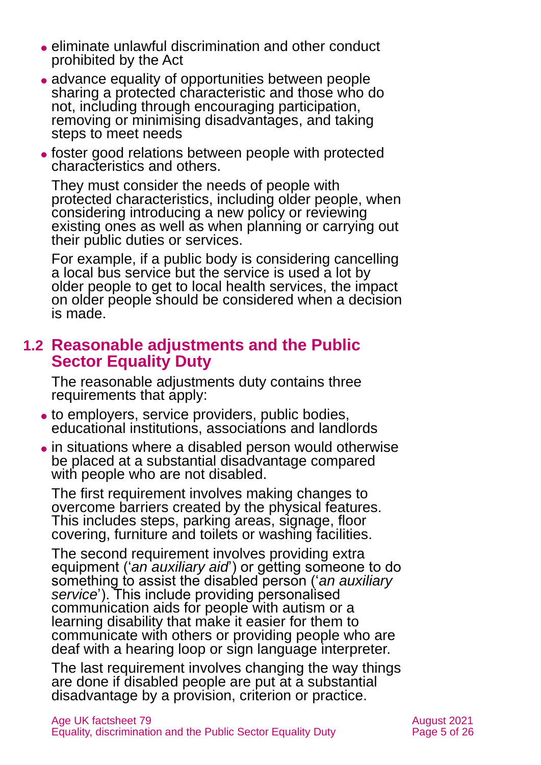- ⚫ eliminate unlawful discrimination and other conduct prohibited by the Act
- ⚫ advance equality of opportunities between people sharing a protected characteristic and those who do not, including through encouraging participation, removing or minimising disadvantages, and taking steps to meet needs
- ⚫ foster good relations between people with protected characteristics and others.

They must consider the needs of people with protected characteristics, including older people, when considering introducing a new policy or reviewing existing ones as well as when planning or carrying out their public duties or services.

For example, if a public body is considering cancelling a local bus service but the service is used a lot by older people to get to local health services, the impact on older people should be considered when a decision is made.

### **1.2 Reasonable adjustments and the Public Sector Equality Duty**

The reasonable adjustments duty contains three requirements that apply:

- ⚫ to employers, service providers, public bodies, educational institutions, associations and landlords
- ⚫ in situations where a disabled person would otherwise be placed at a substantial disadvantage compared with people who are not disabled.

The first requirement involves making changes to overcome barriers created by the physical features. This includes steps, parking areas, signage, floor covering, furniture and toilets or washing facilities.

The second requirement involves providing extra equipment ('*an auxiliary aid*') or getting someone to do something to assist the disabled person ('*an auxiliary service*'). This include providing personalised communication aids for people with autism or a learning disability that make it easier for them to communicate with others or providing people who are deaf with a hearing loop or sign language interpreter.

The last requirement involves changing the way things are done if disabled people are put at a substantial disadvantage by a provision, criterion or practice.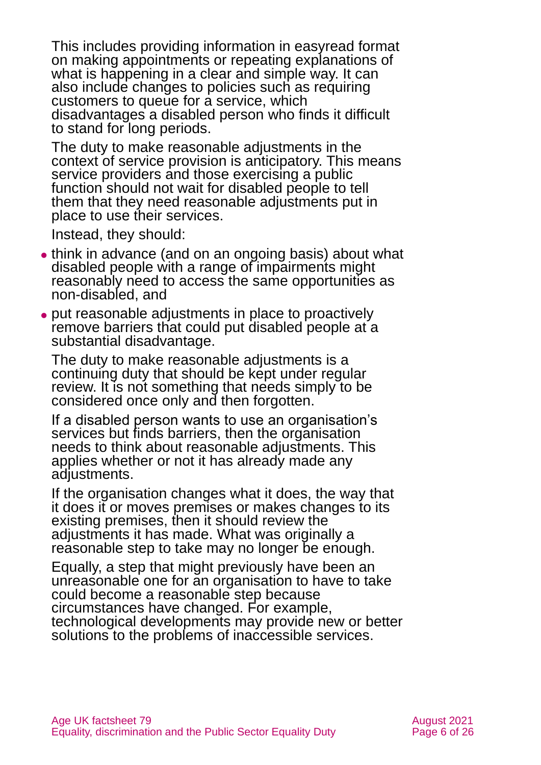This includes providing information in easyread format on making appointments or repeating explanations of what is happening in a clear and simple way. It can also include changes to policies such as requiring customers to queue for a service, which disadvantages a disabled person who finds it difficult to stand for long periods.

The duty to make reasonable adjustments in the context of service provision is anticipatory. This means service providers and those exercising a public function should not wait for disabled people to tell them that they need reasonable adjustments put in place to use their services.

Instead, they should:

- ⚫ think in advance (and on an ongoing basis) about what disabled people with a range of impairments might reasonably need to access the same opportunities as non-disabled, and
- ⚫ put reasonable adjustments in place to proactively remove barriers that could put disabled people at a substantial disadvantage.

The duty to make reasonable adjustments is a continuing duty that should be kept under regular review. It is not something that needs simply to be considered once only and then forgotten.

If a disabled person wants to use an organisation's services but finds barriers, then the organisation needs to think about reasonable adjustments. This applies whether or not it has already made any adjustments.

If the organisation changes what it does, the way that it does it or moves premises or makes changes to its existing premises, then it should review the adjustments it has made. What was originally a reasonable step to take may no longer be enough.

Equally, a step that might previously have been an unreasonable one for an organisation to have to take could become a reasonable step because circumstances have changed. For example, technological developments may provide new or better solutions to the problems of inaccessible services.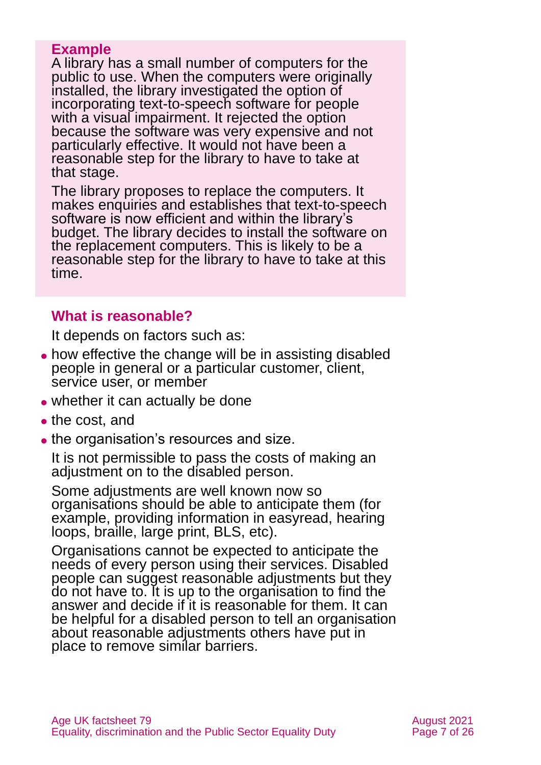#### **Example**

A library has a small number of computers for the public to use. When the computers were originally installed, the library investigated the option of incorporating text-to-speech software for people with a visual impairment. It rejected the option because the software was very expensive and not particularly effective. It would not have been a reasonable step for the library to have to take at that stage.

The library proposes to replace the computers. It makes enquiries and establishes that text-to-speech software is now efficient and within the library's budget. The library decides to install the software on the replacement computers. This is likely to be a reasonable step for the library to have to take at this time.

#### **What is reasonable?**

It depends on factors such as:

- ⚫ how effective the change will be in assisting disabled people in general or a particular customer, client, service user, or member
- whether it can actually be done
- the cost, and
- the organisation's resources and size.

It is not permissible to pass the costs of making an adjustment on to the disabled person.

Some adjustments are well known now so organisations should be able to anticipate them (for example, providing information in easyread, hearing loops, braille, large print, BLS, etc).

Organisations cannot be expected to anticipate the needs of every person using their services. Disabled people can suggest reasonable adjustments but they do not have to. It is up to the organisation to find the answer and decide if it is reasonable for them. It can be helpful for a disabled person to tell an organisation about reasonable adjustments others have put in place to remove similar barriers.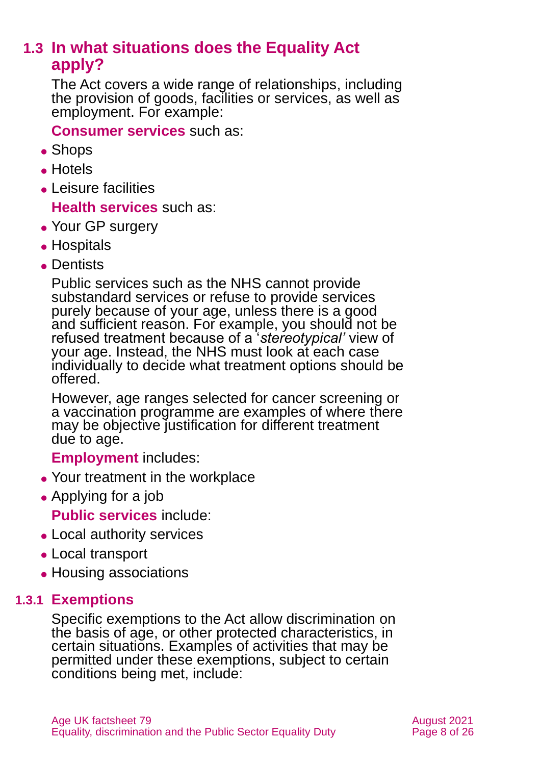# <span id="page-7-0"></span>**1.3 In what situations does the Equality Act apply?**

The Act covers a wide range of relationships, including the provision of goods, facilities or services, as well as employment. For example:

**Consumer services** such as:

- ⚫ Shops
- ⚫ Hotels
- ⚫ Leisure facilities

**Health services** such as:

- Your GP surgery
- ⚫ Hospitals
- ⚫ Dentists

Public services such as the NHS cannot provide substandard services or refuse to provide services purely because of your age, unless there is a good and sufficient reason. For example, you should not be refused treatment because of a '*stereotypical'* view of your age. Instead, the NHS must look at each case individually to decide what treatment options should be offered.

However, age ranges selected for cancer screening or a vaccination programme are examples of where there may be objective justification for different treatment due to age.

**Employment** includes:

- ⚫ Your treatment in the workplace
- ⚫ Applying for a job

**Public services** include:

- Local authority services
- ⚫ Local transport
- ⚫ Housing associations

#### **1.3.1 Exemptions**

Specific exemptions to the Act allow discrimination on the basis of age, or other protected characteristics, in certain situations. Examples of activities that may be permitted under these exemptions, subject to certain conditions being met, include: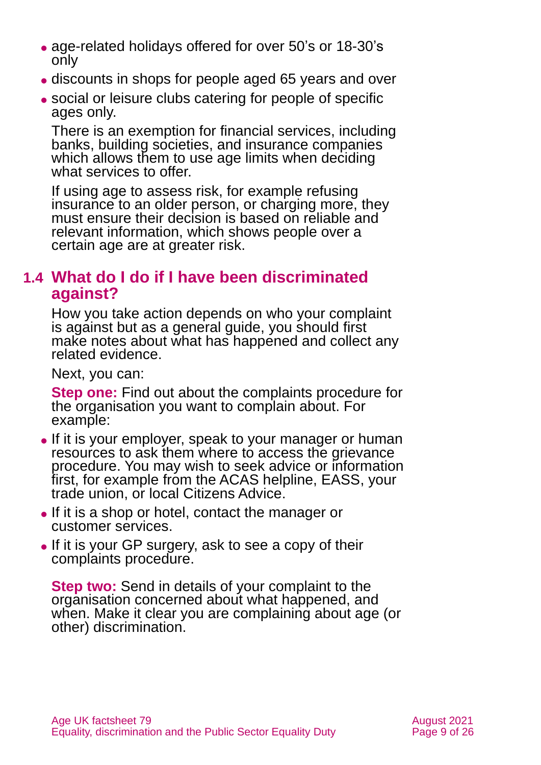- ⚫ age-related holidays offered for over 50's or 18-30's only
- ⚫ discounts in shops for people aged 65 years and over
- ⚫ social or leisure clubs catering for people of specific ages only.

There is an exemption for financial services, including banks, building societies, and insurance companies which allows them to use age limits when deciding what services to offer.

If using age to assess risk, for example refusing insurance to an older person, or charging more, they must ensure their decision is based on reliable and relevant information, which shows people over a certain age are at greater risk.

### **1.4 What do I do if I have been discriminated against?**

How you take action depends on who your complaint is against but as a general guide, you should first make notes about what has happened and collect any related evidence.

Next, you can:

**Step one:** Find out about the complaints procedure for the organisation you want to complain about. For example:

- ⚫ If it is your employer, speak to your manager or human resources to ask them where to access the grievance procedure. You may wish to seek advice or information first, for example from the ACAS helpline, EASS, your trade union, or local Citizens Advice.
- ⚫ If it is a shop or hotel, contact the manager or customer services.
- If it is your GP surgery, ask to see a copy of their complaints procedure.

**Step two:** Send in details of your complaint to the organisation concerned about what happened, and when. Make it clear you are complaining about age (or other) discrimination.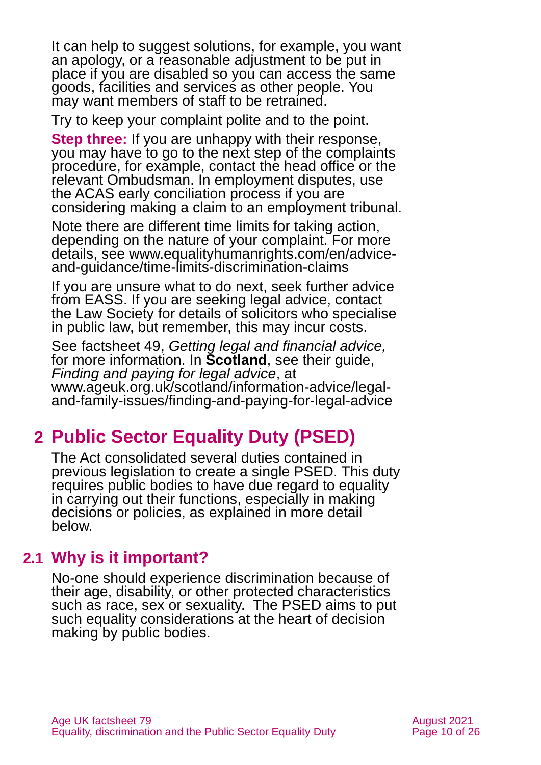It can help to suggest solutions, for example, you want an apology, or a reasonable adjustment to be put in place if you are disabled so you can access the same goods, facilities and services as other people. You may want members of staff to be retrained.

Try to keep your complaint polite and to the point.

**Step three:** If you are unhappy with their response, you may have to go to the next step of the complaints procedure, for example, contact the head office or the relevant Ombudsman. In employment disputes, use the ACAS early conciliation process if you are considering making a claim to an employment tribunal.

Note there are different time limits for taking action, depending on the nature of your complaint. For more details, see [www.equalityhumanrights.com/en/advice](http://www.equalityhumanrights.com/en/advice-and-guidance/time-limits-discrimination-claims)[and-guidance/time-limits-discrimination-claims](http://www.equalityhumanrights.com/en/advice-and-guidance/time-limits-discrimination-claims)

If you are unsure what to do next, seek further advice from [EASS.](#page-21-1) If you are seeking legal advice, contact the [Law Society](http://solicitors.lawsociety.org.uk/) for details of solicitors who specialise in public law, but remember, this may incur costs.

See factsheet 49, *[Getting legal and financial advice,](https://www.ageuk.org.uk/globalassets/age-uk/documents/factsheets/fs43-getting-legal-and-financial-advice.pdf)* for more information. In **Scotland**, see their guide, *[Finding and paying for legal advice](https://www.ageuk.org.uk/scotland/information-advice/legal-and-family-issues/finding-and-paying-for-legal-advice/)*, at [www.ageuk.org.uk/scotland/information-advice/legal](http://www.ageuk.org.uk/scotland/information-advice/legal-and-family-issues/finding-and-paying-for-legal-advice)[and-family-issues/finding-and-paying-for-legal-advice](http://www.ageuk.org.uk/scotland/information-advice/legal-and-family-issues/finding-and-paying-for-legal-advice)

# <span id="page-9-0"></span>**2 Public Sector Equality Duty (PSED)**

The Act consolidated several duties contained in previous legislation to create a single PSED. This duty requires public bodies to have due regard to equality in carrying out their functions, especially in making decisions or policies, as explained in more detail below.

# **2.1 Why is it important?**

No-one should experience discrimination because of their age, disability, or other protected characteristics such as race, sex or sexuality. The PSED aims to put such equality considerations at the heart of decision making by public bodies.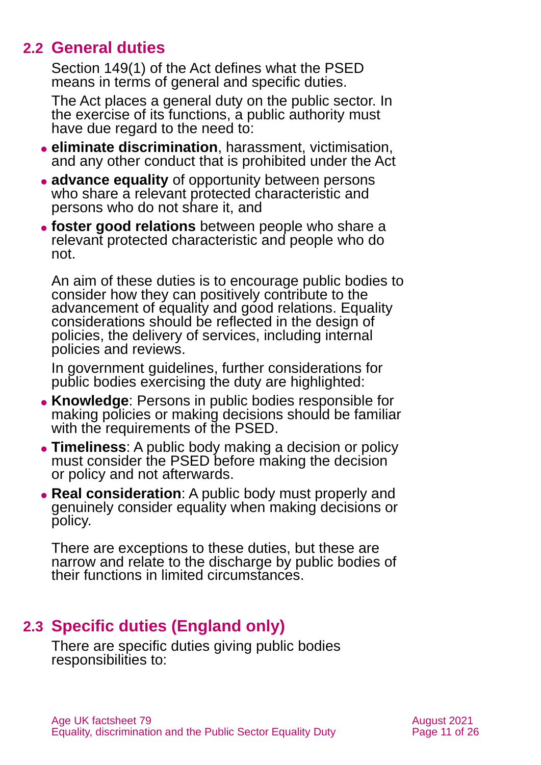### **2.2 General duties**

Section 149(1) of the Act defines what the PSED means in terms of general and specific duties.

The Act places a general duty on the public sector. In the exercise of its functions, a public authority must have due regard to the need to:

- ⚫ **eliminate discrimination**, harassment, victimisation, and any other conduct that is prohibited under the Act
- ⚫ **advance equality** of opportunity between persons who share a relevant protected characteristic and persons who do not share it, and
- ⚫ **foster good relations** between people who share a relevant protected characteristic and people who do not.

An aim of these duties is to encourage public bodies to consider how they can positively contribute to the advancement of equality and good relations. Equality considerations should be reflected in the design of policies, the delivery of services, including internal policies and reviews.

In government guidelines, further considerations for public bodies exercising the duty are highlighted:

- ⚫ **Knowledge**: Persons in public bodies responsible for making policies or making decisions should be familiar with the requirements of the PSED.
- ⚫ **Timeliness**: A public body making a decision or policy must consider the PSED before making the decision or policy and not afterwards.
- ⚫ **Real consideration**: A public body must properly and genuinely consider equality when making decisions or policy.

There are exceptions to these duties, but these are narrow and relate to the discharge by public bodies of their functions in limited circumstances.

# **2.3 Specific duties (England only)**

There are specific duties giving public bodies responsibilities to: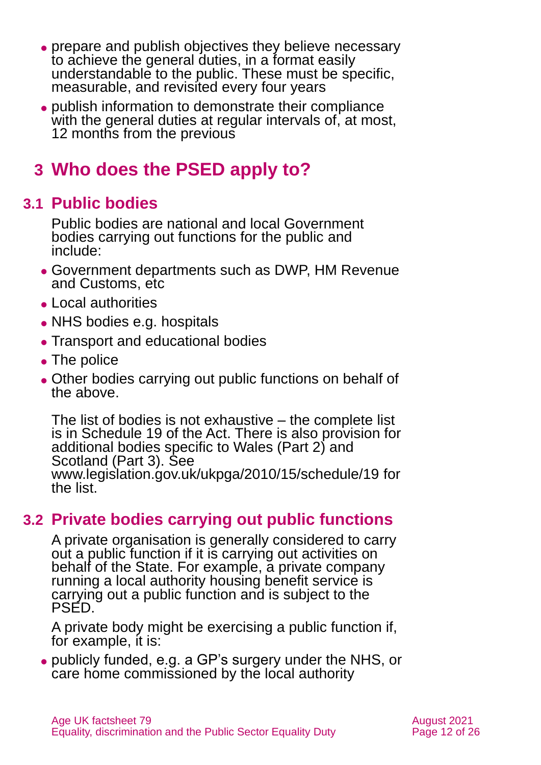- ⚫ prepare and publish objectives they believe necessary to achieve the general duties, in a format easily understandable to the public. These must be specific, measurable, and revisited every four years
- ⚫ publish information to demonstrate their compliance with the general duties at regular intervals of, at most, 12 months from the previous

# <span id="page-11-0"></span>**3 Who does the PSED apply to?**

# **3.1 Public bodies**

Public bodies are national and local Government bodies carrying out functions for the public and include:

- ⚫ Government departments such as DWP, HM Revenue and Customs, etc
- ⚫ Local authorities
- NHS bodies e.g. hospitals
- Transport and educational bodies
- The police
- ⚫ Other bodies carrying out public functions on behalf of the above.

The list of bodies is not exhaustive – the complete list is in [Schedule 19 of the Act.](http://www.legislation.gov.uk/ukpga/2010/15/schedule/19) There is also provision for additional bodies specific to Wales (Part 2) and Scotland (Part 3). See [www.legislation.gov.uk/ukpga/2010/15/schedule/19](http://www.legislation.gov.uk/ukpga/2010/15/schedule/19) for the list.

# **3.2 Private bodies carrying out public functions**

A private organisation is generally considered to carry out a public function if it is carrying out activities on behalf of the State. For example, a private company running a local authority housing benefit service is carrying out a public function and is subject to the PSED.

A private body might be exercising a public function if, for example, it is:

⚫ publicly funded, e.g. a GP's surgery under the NHS, or care home commissioned by the local authority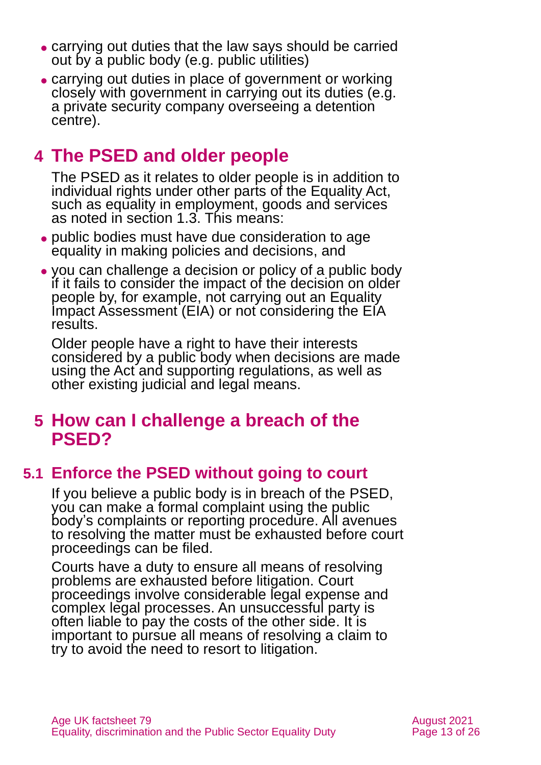- ⚫ carrying out duties that the law says should be carried out by a public body (e.g. public utilities)
- ⚫ carrying out duties in place of government or working closely with government in carrying out its duties (e.g. a private security company overseeing a detention centre).

# <span id="page-12-0"></span>**4 The PSED and older people**

The PSED as it relates to older people is in addition to individual rights under other parts of the Equality Act, such as equality in employment, goods and services as noted in [section 1.3.](#page-7-0) This means:

- ⚫ public bodies must have due consideration to age equality in making policies and decisions, and
- ⚫ you can challenge a decision or policy of a public body if it fails to consider the impact of the decision on older people by, for example, not carrying out an Equality Impact Assessment (EIA) or not considering the EIA results.

Older people have a right to have their interests considered by a public body when decisions are made using the Act and supporting regulations, as well as other existing judicial and legal means.

# <span id="page-12-1"></span>**5 How can I challenge a breach of the PSED?**

# **5.1 Enforce the PSED without going to court**

If you believe a public body is in breach of the PSED, you can make a formal complaint using the public body's complaints or reporting procedure. All avenues to resolving the matter must be exhausted before court proceedings can be filed.

Courts have a duty to ensure all means of resolving problems are exhausted before litigation. Court proceedings involve considerable legal expense and complex legal processes. An unsuccessful party is often liable to pay the costs of the other side. It is important to pursue all means of resolving a claim to try to avoid the need to resort to litigation.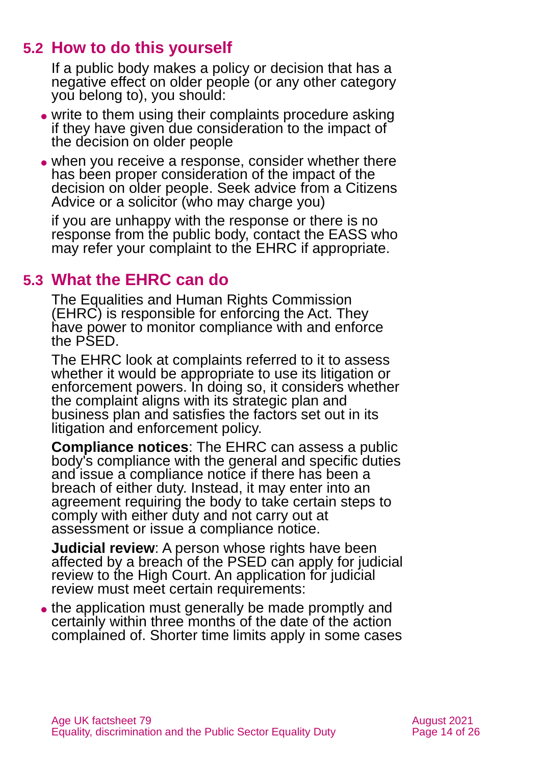# **5.2 How to do this yourself**

If a public body makes a policy or decision that has a negative effect on older people (or any other category you belong to), you should:

- ⚫ write to them using their complaints procedure asking if they have given due consideration to the impact of the decision on older people
- when you receive a response, consider whether there has been proper consideration of the impact of the decision on older people. Seek advice from a Citizens Advice or a solicitor (who may charge you)

if you are unhappy with the response or there is no response from the public body, contact the EASS who may refer your complaint to the EHRC if appropriate.

### **5.3 What the EHRC can do**

The Equalities and Human Rights Commission (EHRC) is responsible for enforcing the Act. They have power to monitor compliance with and enforce the PSED.

The EHRC look at complaints referred to it to assess whether it would be appropriate to use its litigation or enforcement powers. In doing so, it considers whether the complaint aligns with its strategic plan and business plan and satisfies the factors set out in its litigation and enforcement policy.

**Compliance notices**: The EHRC can assess a public body's compliance with the general and specific duties and issue a compliance notice if there has been a breach of either duty. Instead, it may enter into an agreement requiring the body to take certain steps to comply with either duty and not carry out at assessment or issue a compliance notice.

**Judicial review**: A person whose rights have been affected by a breach of the PSED can apply for judicial review to the High Court. An application for judicial review must meet certain requirements:

• the application must generally be made promptly and certainly within three months of the date of the action complained of. Shorter time limits apply in some cases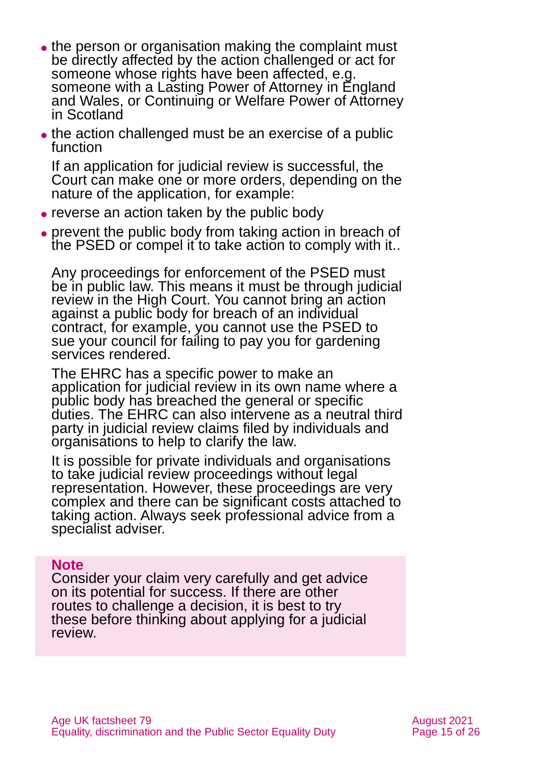- the person or organisation making the complaint must be directly affected by the action challenged or act for someone whose rights have been affected, e.g. someone with a Lasting Power of Attorney in England and Wales, or Continuing or Welfare Power of Attorney in Scotland
- the action challenged must be an exercise of a public function

If an application for judicial review is successful, the Court can make one or more orders, depending on the nature of the application, for example:

- ⚫ reverse an action taken by the public body
- prevent the public body from taking action in breach of the PSED or compel it to take action to comply with it..

Any proceedings for enforcement of the PSED must be in public law. This means it must be through judicial review in the High Court. You cannot bring an action against a public body for breach of an individual contract, for example, you cannot use the PSED to sue your council for failing to pay you for gardening services rendered.

The EHRC has a specific power to make an application for judicial review in its own name where a public body has breached the general or specific duties. The EHRC can also intervene as a neutral third party in judicial review claims filed by individuals and organisations to help to clarify the law.

It is possible for private individuals and organisations to take judicial review proceedings without legal representation. However, these proceedings are very complex and there can be significant costs attached to taking action. Always seek professional advice from a specialist adviser.

#### **Note**

Consider your claim very carefully and get advice on its potential for success. If there are other routes to challenge a decision, it is best to try these before thinking about applying for a judicial review.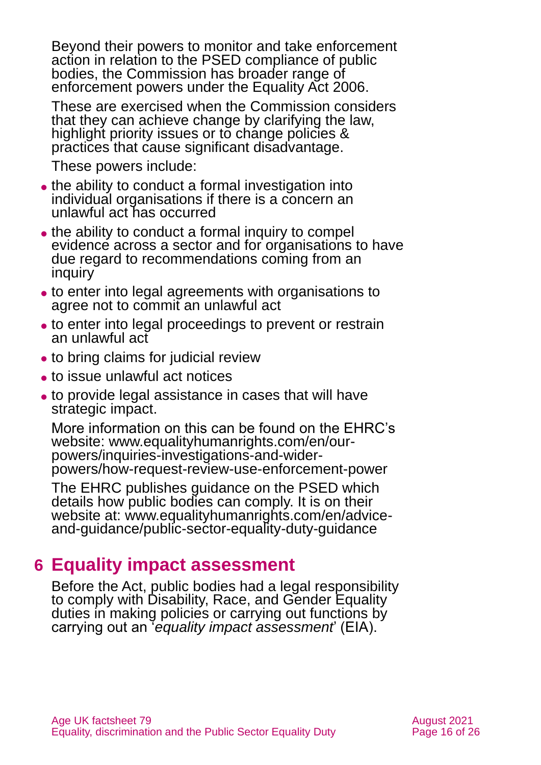Beyond their powers to monitor and take enforcement action in relation to the PSED compliance of public bodies, the Commission has broader range of enforcement powers under the Equality Act 2006.

These are exercised when the Commission considers that they can achieve change by clarifying the law, highlight priority issues or to change policies & practices that cause significant disadvantage.

These powers include:

- the ability to conduct a formal investigation into individual organisations if there is a concern an unlawful act has occurred
- the ability to conduct a formal inquiry to compel evidence across a sector and for organisations to have due regard to recommendations coming from an inquiry
- ⚫ to enter into legal agreements with organisations to agree not to commit an unlawful act
- to enter into legal proceedings to prevent or restrain an unlawful act
- to bring claims for judicial review
- ⚫ to issue unlawful act notices
- ⚫ to provide legal assistance in cases that will have strategic impact.

More information on this can be found on the EHRC's website: [www.equalityhumanrights.com/en/our](http://www.equalityhumanrights.com/en/our-powers/inquiries-investigations-and-wider-powers/how-request-review-use-enforcement-power)[powers/inquiries-investigations-and-wider](http://www.equalityhumanrights.com/en/our-powers/inquiries-investigations-and-wider-powers/how-request-review-use-enforcement-power)[powers/how-request-review-use-enforcement-power](http://www.equalityhumanrights.com/en/our-powers/inquiries-investigations-and-wider-powers/how-request-review-use-enforcement-power)

The EHRC publishes guidance on the PSED which details how public bodies can comply. It is on their website at: [www.equalityhumanrights.com/en/advice](http://www.equalityhumanrights.com/en/advice-and-guidance/public-sector-equality-duty-guidance)[and-guidance/public-sector-equality-duty-guidance](http://www.equalityhumanrights.com/en/advice-and-guidance/public-sector-equality-duty-guidance)

# <span id="page-15-0"></span>**6 Equality impact assessment**

Before the Act, public bodies had a legal responsibility to comply with Disability, Race, and Gender Equality duties in making policies or carrying out functions by carrying out an '*equality impact assessment*' (EIA).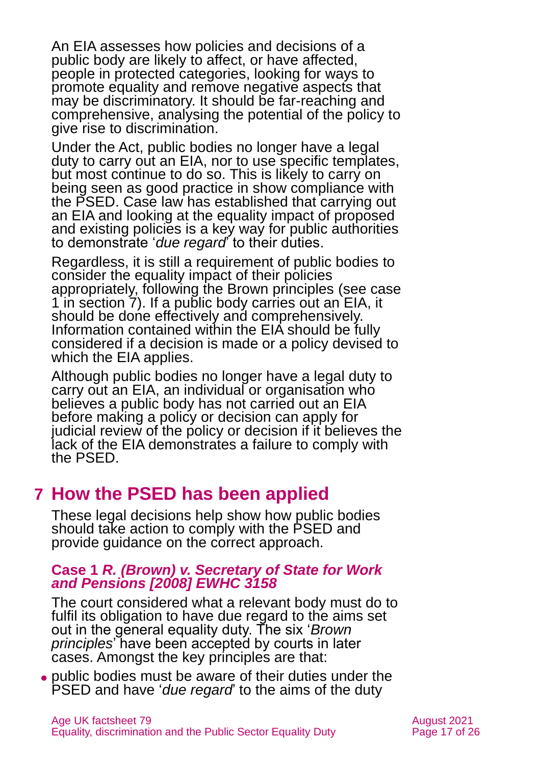An EIA assesses how policies and decisions of a public body are likely to affect, or have affected, people in protected categories, looking for ways to promote equality and remove negative aspects that may be discriminatory. It should be far-reaching and comprehensive, analysing the potential of the policy to give rise to discrimination.

Under the Act, public bodies no longer have a legal duty to carry out an EIA, nor to use specific templates, but most continue to do so. This is likely to carry on being seen as good practice in show compliance with the PSED. Case law has established that carrying out an EIA and looking at the equality impact of proposed and existing policies is a key way for public authorities to demonstrate '*due regard*' to their duties.

Regardless, it is still a requirement of public bodies to consider the equality impact of their policies appropriately, following the Brown principles (see [case](#page-16-1)  [1 in section 7\)](#page-16-1). If a public body carries out an EIA, it should be done effectively and comprehensively. Information contained within the EIA should be fully considered if a decision is made or a policy devised to which the EIA applies.

Although public bodies no longer have a legal duty to carry out an EIA, an individual or organisation who believes a public body has not carried out an EIA before making a policy or decision can apply for judicial review of the policy or decision if it believes the lack of the EIA demonstrates a failure to comply with the PSED.

# <span id="page-16-0"></span>**7 How the PSED has been applied**

These legal decisions help show how public bodies should take action to comply with the PSED and provide guidance on the correct approach.

#### <span id="page-16-1"></span>**Case 1** *R. (Brown) v. Secretary of State for Work and Pensions [2008] EWHC 3158*

The court considered what a relevant body must do to fulfil its obligation to have due regard to the aims set out in the general equality duty. The six '*Brown principles*' have been accepted by courts in later cases. Amongst the key principles are that:

⚫ public bodies must be aware of their duties under the PSED and have '*due regard*' to the aims of the duty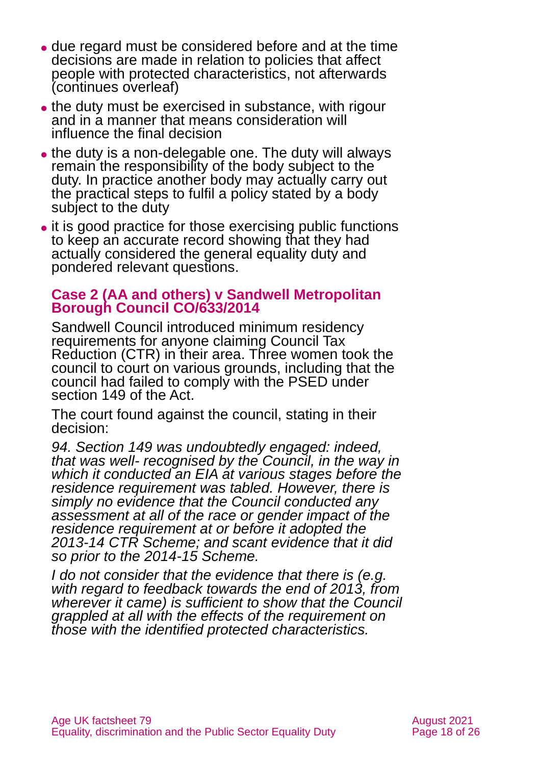- ⚫ due regard must be considered before and at the time decisions are made in relation to policies that affect people with protected characteristics, not afterwards (continues overleaf)
- the duty must be exercised in substance, with rigour and in a manner that means consideration will influence the final decision
- the duty is a non-delegable one. The duty will always remain the responsibility of the body subject to the duty. In practice another body may actually carry out the practical steps to fulfil a policy stated by a body subject to the duty
- ⚫ it is good practice for those exercising public functions to keep an accurate record showing that they had actually considered the general equality duty and pondered relevant questions.

#### **Case 2 [\(AA and others\) v Sandwell Metropolitan](http://www.cpag.org.uk/sites/default/files/Winder%20_ors_v_%20Sandwell_2014_EWHC_2617.pdf)  [Borough Council CO/633/2014](http://www.cpag.org.uk/sites/default/files/Winder%20_ors_v_%20Sandwell_2014_EWHC_2617.pdf)**

Sandwell Council introduced minimum residency requirements for anyone claiming Council Tax Reduction (CTR) in their area. Three women took the council to court on various grounds, including that the council had failed to comply with the PSED under section 149 of the Act.

The court found against the council, stating in their decision:

*94. Section 149 was undoubtedly engaged: indeed, that was well- recognised by the Council, in the way in which it conducted an EIA at various stages before the residence requirement was tabled. However, there is simply no evidence that the Council conducted any assessment at all of the race or gender impact of the residence requirement at or before it adopted the 2013-14 CTR Scheme; and scant evidence that it did so prior to the 2014-15 Scheme.*

*I do not consider that the evidence that there is (e.g. with regard to feedback towards the end of 2013, from wherever it came) is sufficient to show that the Council grappled at all with the effects of the requirement on those with the identified protected characteristics.*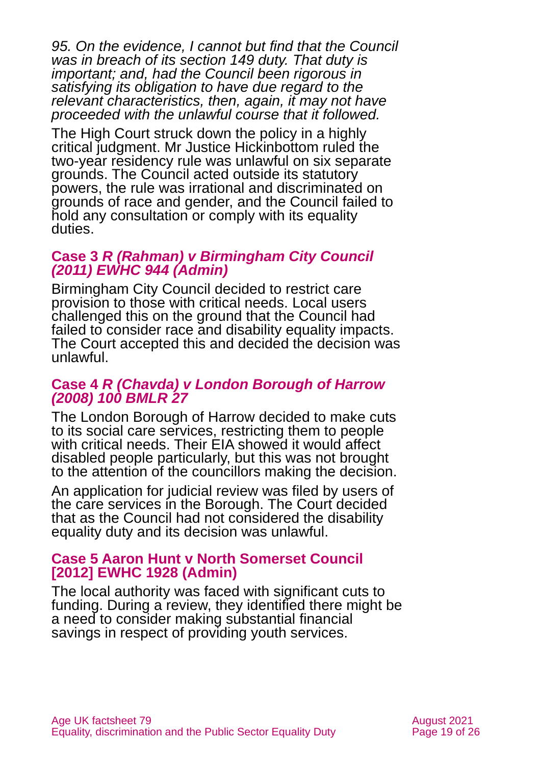*95. On the evidence, I cannot but find that the Council was in breach of its section 149 duty. That duty is important; and, had the Council been rigorous in satisfying its obligation to have due regard to the relevant characteristics, then, again, it may not have proceeded with the unlawful course that it followed.*

The High Court struck down the policy in a highly critical judgment. Mr Justice Hickinbottom ruled the two-year residency rule was unlawful on six separate grounds. The Council acted outside its statutory powers, the rule was irrational and discriminated on grounds of race and gender, and the Council failed to hold any consultation or comply with its equality duties.

#### **Case 3** *R (Rahman) v Birmingham City Council (2011) EWHC 944 (Admin)*

Birmingham City Council decided to restrict care provision to those with critical needs. Local users challenged this on the ground that the Council had failed to consider race and disability equality impacts. The Court accepted this and decided the decision was unlawful.

#### **Case 4** *R (Chavda) v London Borough of Harrow (2008) 100 BMLR 27*

The London Borough of Harrow decided to make cuts to its social care services, restricting them to people with critical needs. Their EIA showed it would affect disabled people particularly, but this was not brought to the attention of the councillors making the decision.

An application for judicial review was filed by users of the care services in the Borough. The Court decided that as the Council had not considered the disability equality duty and its decision was unlawful.

#### **Case 5 [Aaron Hunt v North Somerset Council](http://www.bailii.org/ew/cases/EWHC/Admin/2012/1928.html)  [\[2012\] EWHC 1928 \(Admin\)](http://www.bailii.org/ew/cases/EWHC/Admin/2012/1928.html)**

The local authority was faced with significant cuts to funding. During a review, they identified there might be a need to consider making substantial financial savings in respect of providing youth services.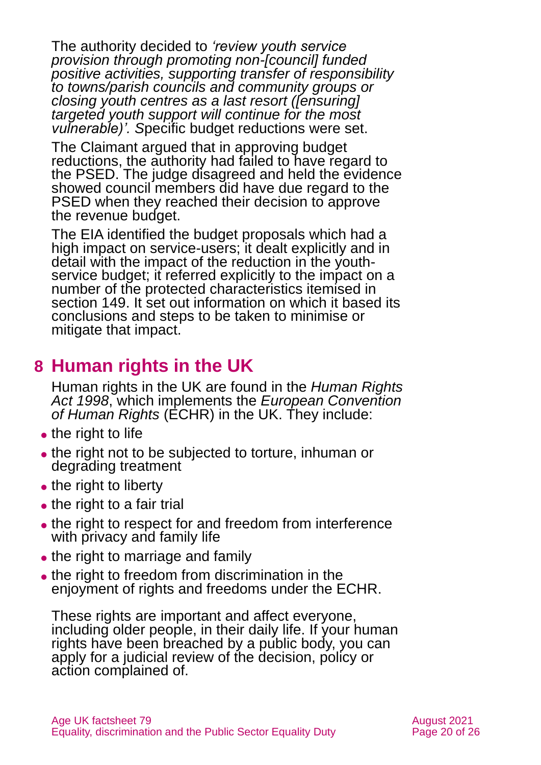The authority decided to *'review youth service provision through promoting non-[council] funded positive activities, supporting transfer of responsibility to towns/parish councils and community groups or closing youth centres as a last resort ([ensuring] targeted youth support will continue for the most vulnerable)'. S*pecific budget reductions were set.

The Claimant argued that in approving budget reductions, the authority had failed to have regard to the PSED. The judge disagreed and held the evidence showed council members did have due regard to the PSED when they reached their decision to approve the revenue budget.

The EIA identified the budget proposals which had a high impact on service-users; it dealt explicitly and in detail with the impact of the reduction in the youthservice budget; it referred explicitly to the impact on a number of the protected characteristics itemised in section 149. It set out information on which it based its conclusions and steps to be taken to minimise or mitigate that impact.

# <span id="page-19-0"></span>**8 Human rights in the UK**

Human rights in the UK are found in the *[Human Rights](http://www.legislation.gov.uk/ukpga/1998/42/contents)  [Act 1998](http://www.legislation.gov.uk/ukpga/1998/42/contents)*, which implements the *European Convention of Human Rights* (ECHR) in the UK. They include:

- the right to life
- the right not to be subjected to torture, inhuman or degrading treatment
- the right to liberty
- the right to a fair trial
- the right to respect for and freedom from interference with privacy and family life
- the right to marriage and family
- the right to freedom from discrimination in the enjoyment of rights and freedoms under the ECHR.

These rights are important and affect everyone, including older people, in their daily life. If your human rights have been breached by a public body, you can apply for a judicial review of the decision, policy or action complained of.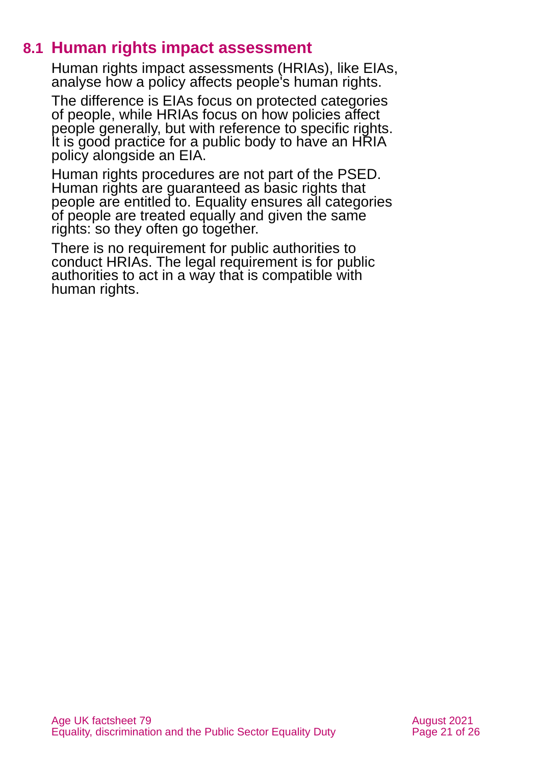### **8.1 Human rights impact assessment**

Human rights impact assessments (HRIAs), like EIAs, analyse how a policy affects people's human rights.

The difference is EIAs focus on protected categories of people, while HRIAs focus on how policies affect people generally, but with reference to specific rights. It is good practice for a public body to have an HRIA policy alongside an EIA.

Human rights procedures are not part of the PSED. Human rights are guaranteed as basic rights that people are entitled to. Equality ensures all categories of people are treated equally and given the same rights: so they often go together.

There is no requirement for public authorities to conduct HRIAs. The legal requirement is for public authorities to act in a way that is compatible with human rights.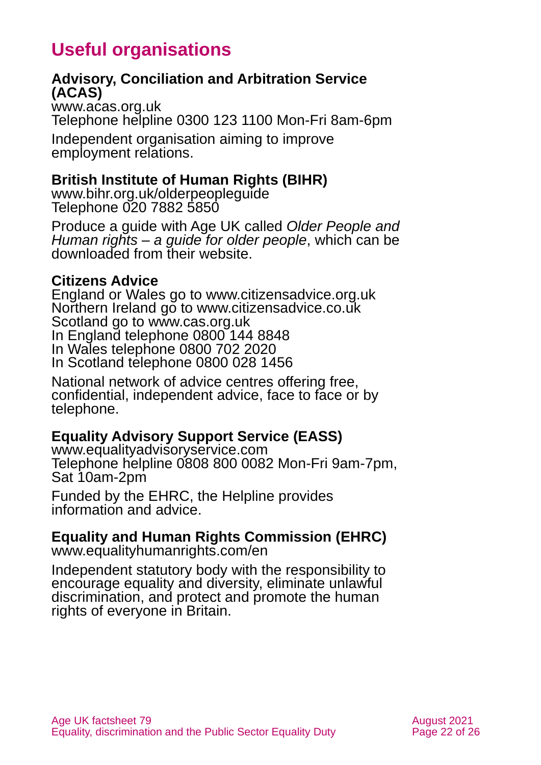# **Useful organisations**

#### <span id="page-21-0"></span>**Advisory, Conciliation and Arbitration Service (ACAS)**

[www.acas.org.uk](http://www.acas.org.uk/) Telephone helpline 0300 123 1100 Mon-Fri 8am-6pm Independent organisation aiming to improve

employment relations.

#### **British Institute of Human Rights (BIHR)**

[www.bihr.org.uk/olderpeopleguide](http://www.bihr.org.uk/olderpeopleguide)  Telephone 020 7882 5850

Produce a guide with Age UK called *Older People and Human rights – a guide for older people*, which can be downloaded from their website.

#### **Citizens Advice**

England or Wales go to [www.citizensadvice.org.uk](http://www.citizensadvice.org.uk/) Northern Ireland go to [www.citizensadvice.co.uk](http://www.citizensadvice.co.uk/) Scotland go to [www.cas.org.uk](http://www.cas.org.uk/) In England telephone 0800 144 8848 In Wales telephone 0800 702 2020 In Scotland telephone 0800 028 1456

National network of advice centres offering free, confidential, independent advice, face to face or by telephone.

#### <span id="page-21-1"></span>**Equality Advisory Support Service (EASS)**

[www.equalityadvisoryservice.com](http://www.equalityadvisoryservice.com/) Telephone helpline 0808 800 0082 Mon-Fri 9am-7pm, Sat 10am-2pm

Funded by the EHRC, the Helpline provides information and advice.

### **Equality and Human Rights Commission (EHRC)**

[www.equalityhumanrights.com/en](http://www.equalityhumanrights.com/en)

Independent statutory body with the responsibility to encourage equality and diversity, eliminate unlawful discrimination, and protect and promote the human rights of everyone in Britain.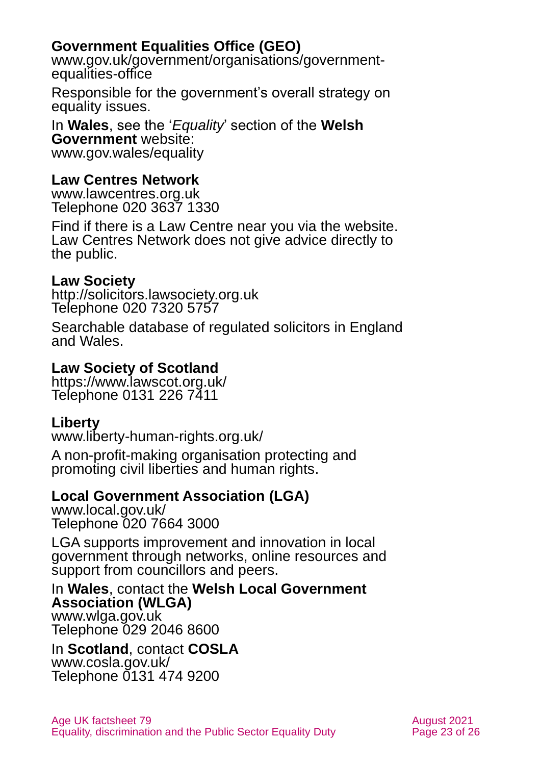### **Government Equalities Office (GEO)**

[www.gov.uk/government/organisations/government](http://www.gov.uk/government/organisations/government-equalities-office)[equalities-office](http://www.gov.uk/government/organisations/government-equalities-office)

Responsible for the government's overall strategy on equality issues.

In **Wales**, see the '*Equality*' section of the **Welsh Government** website: [www.gov.wales/equality](http://www.gov.wales/equality)

#### **Law Centres Network**

[www.lawcentres.org.uk](http://www.lawcentres.org.uk/) Telephone 020 3637 1330

Find if there is a Law Centre near you via the website. Law Centres Network does not give advice directly to the public.

#### **Law Society**

[http://solicitors.lawsociety.org.uk](http://solicitors.lawsociety.org.uk/) Telephone 020 7320 5757

Searchable database of regulated solicitors in England and Wales.

#### **Law Society of Scotland**

<https://www.lawscot.org.uk/> Telephone 0131 226 7411

#### **Liberty**

[www.liberty-human-rights.org.uk/](http://www.liberty-human-rights.org.uk/)

A non-profit-making organisation protecting and promoting civil liberties and human rights.

#### **Local Government Association (LGA)**

[www.local.gov.uk/](http://www.local.gov.uk/) Telephone 020 7664 3000

LGA supports improvement and innovation in local government through networks, online resources and support from councillors and peers.

In **Wales**, contact the **Welsh Local Government Association (WLGA)** [www.wlga.gov.uk](http://www.wlga.gov.uk/) Telephone 029 2046 8600

In **Scotland**, contact **COSLA** [www.cosla.gov.uk/](http://www.cosla.gov.uk/)  Telephone 0131 474 9200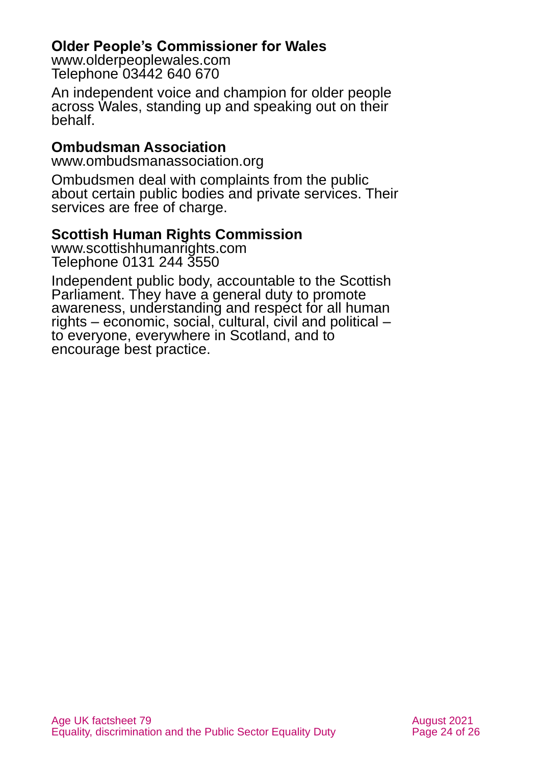#### **Older People's Commissioner for Wales**

[www.olderpeoplewales.com](http://www.olderpeoplewales.com/) Telephone 03442 640 670

An independent voice and champion for older people across Wales, standing up and speaking out on their behalf.

#### **Ombudsman Association**

[www.ombudsmanassociation.org](http://www.ombudsmanassociation.org/index.php)

Ombudsmen deal with complaints from the public about certain public bodies and private services. Their services are free of charge.

### **Scottish Human Rights Commission**

[www.scottishhumanrights.com](http://www.scottishhumanrights.com/) Telephone 0131 244 3550

Independent public body, accountable to the Scottish Parliament. They have a general duty to promote awareness, understanding and respect for all human rights – economic, social, cultural, civil and political – to everyone, everywhere in Scotland, and to encourage best practice.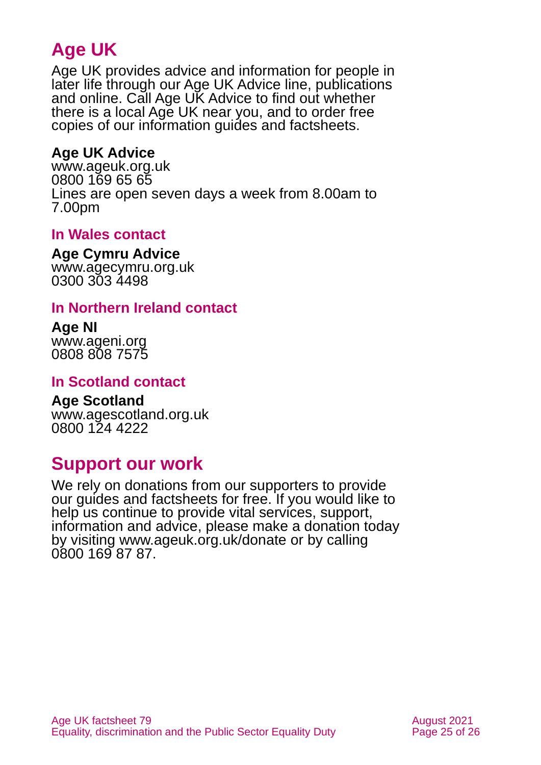# **Age UK**

Age UK provides advice and information for people in later life through our Age UK Advice line, publications and online. Call Age UK Advice to find out whether there is a local Age UK near you, and to order free copies of our information guides and factsheets.

#### <span id="page-24-0"></span>**Age UK Advice**

[www.ageuk.org.uk](http://www.ageuk.org.uk/) 0800 169 65 65 Lines are open seven days a week from 8.00am to 7.00pm

#### **In Wales contact**

#### **Age Cymru Advice**

[www.agecymru.org.uk](http://www.agecymru.org.uk/) 0300 303 4498

#### **In Northern Ireland contact**

#### **Age NI** [www.ageni.org](http://www.ageni.org/)

0808 808 7575

#### **In Scotland contact**

#### <span id="page-24-1"></span>**Age Scotland** [www.agescotland.org.uk](http://www.agescotland.org.uk/) 0800 124 4222

# **Support our work**

We rely on donations from our supporters to provide our guides and factsheets for free. If you would like to help us continue to provide vital services, support, information and advice, please make a donation today by visiting [www.ageuk.org.uk/donate](http://www.ageuk.org.uk/donate) or by calling 0800 169 87 87.